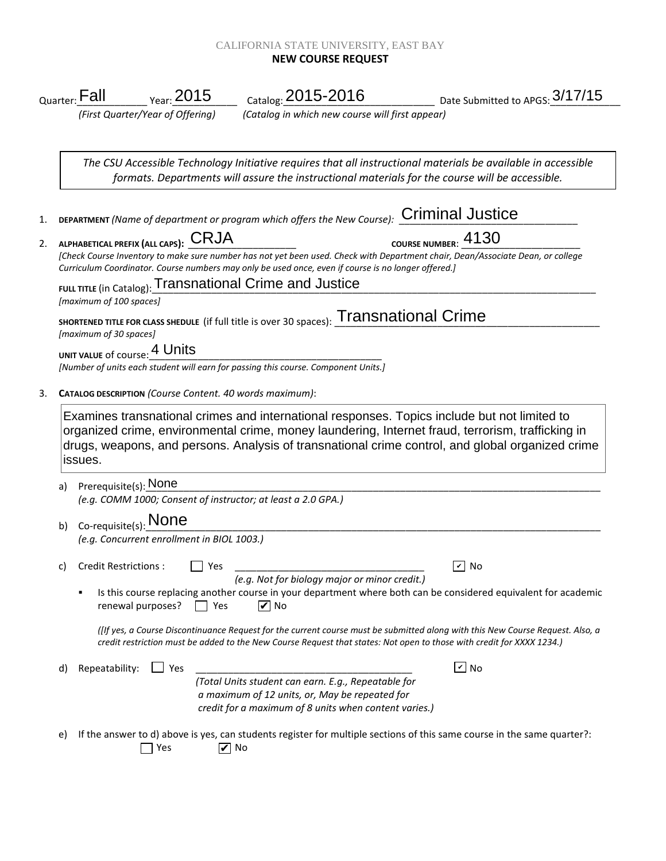## CALIFORNIA STATE UNIVERSITY, EAST BAY **NEW COURSE REQUEST**

| <sub>Quarter:</sub> Fall                          | <sub>Year:</sub> 2015                                                  | Catalog: 2015-2016                                                                                                    | _____________ Date Submitted to APGS: $3/17/15$                                                                                                                                                       |
|---------------------------------------------------|------------------------------------------------------------------------|-----------------------------------------------------------------------------------------------------------------------|-------------------------------------------------------------------------------------------------------------------------------------------------------------------------------------------------------|
|                                                   | (First Quarter/Year of Offering)                                       | (Catalog in which new course will first appear)                                                                       |                                                                                                                                                                                                       |
|                                                   |                                                                        | formats. Departments will assure the instructional materials for the course will be accessible.                       | The CSU Accessible Technology Initiative requires that all instructional materials be available in accessible                                                                                         |
|                                                   |                                                                        | DEPARTMENT (Name of department or program which offers the New Course): Criminal Justice                              |                                                                                                                                                                                                       |
|                                                   | ALPHABETICAL PREFIX (ALL CAPS): CRJA                                   | Curriculum Coordinator. Course numbers may only be used once, even if course is no longer offered.]                   | COURSE NUMBER: 4130<br>[Check Course Inventory to make sure number has not yet been used. Check with Department chair, Dean/Associate Dean, or college                                                |
|                                                   |                                                                        | <b>FULL TITLE (in Catalog): Transnational Crime and Justice</b>                                                       |                                                                                                                                                                                                       |
| [maximum of 100 spaces]<br>[maximum of 30 spaces] |                                                                        | SHORTENED TITLE FOR CLASS SHEDULE (if full title is over 30 spaces): Transnational Crime                              |                                                                                                                                                                                                       |
|                                                   | UNIT VALUE of course: 4 Units                                          | [Number of units each student will earn for passing this course. Component Units.]                                    |                                                                                                                                                                                                       |
|                                                   | CATALOG DESCRIPTION (Course Content. 40 words maximum):                |                                                                                                                       |                                                                                                                                                                                                       |
| issues.                                           |                                                                        | Examines transnational crimes and international responses. Topics include but not limited to                          | organized crime, environmental crime, money laundering, Internet fraud, terrorism, trafficking in<br>drugs, weapons, and persons. Analysis of transnational crime control, and global organized crime |
| a)                                                | Prerequisite(s): None                                                  | (e.g. COMM 1000; Consent of instructor; at least a 2.0 GPA.)                                                          |                                                                                                                                                                                                       |
|                                                   |                                                                        |                                                                                                                       |                                                                                                                                                                                                       |
| b)                                                | $Co$ -requisite(s): None<br>(e.g. Concurrent enrollment in BIOL 1003.) |                                                                                                                       |                                                                                                                                                                                                       |
| Credit Restrictions:<br>C)                        | Yes                                                                    | (e.g. Not for biology major or minor credit.)                                                                         | $\checkmark$<br>No                                                                                                                                                                                    |
|                                                   | renewal purposes?<br>  Yes                                             | $\triangledown$ No                                                                                                    | Is this course replacing another course in your department where both can be considered equivalent for academic                                                                                       |
|                                                   |                                                                        | credit restriction must be added to the New Course Request that states: Not open to those with credit for XXXX 1234.) | (Itf yes, a Course Discontinuance Request for the current course must be submitted along with this New Course Request. Also, a                                                                        |
| Repeatability:<br>d)                              | $\Box$ Yes                                                             |                                                                                                                       | $\boxed{\mathsf{v}}$ No                                                                                                                                                                               |
|                                                   |                                                                        | (Total Units student can earn. E.g., Repeatable for<br>a maximum of 12 units, or, May be repeated for                 |                                                                                                                                                                                                       |
|                                                   |                                                                        | credit for a maximum of 8 units when content varies.)                                                                 |                                                                                                                                                                                                       |
| e)                                                | Yes                                                                    | $\triangledown$ No                                                                                                    | If the answer to d) above is yes, can students register for multiple sections of this same course in the same quarter?:                                                                               |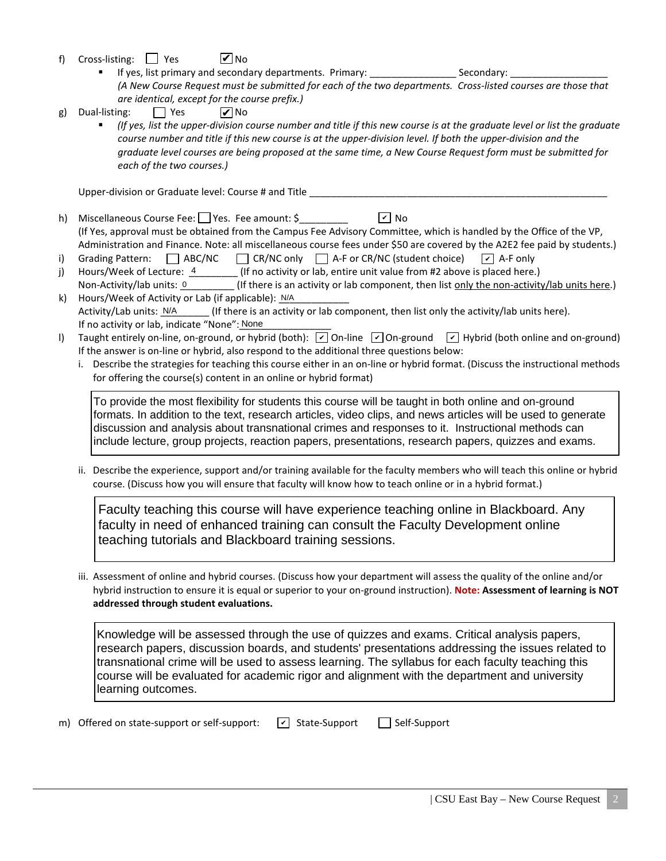- f) Cross-listing:  $\Box$  Yes **V** No
	- If yes, list primary and secondary departments. Primary: \_\_\_\_\_\_\_\_\_\_\_\_\_\_\_\_\_\_\_\_\_\_\_ Secondary: *(A New Course Request must be submitted for each of the two departments. Cross-listed courses are those that are identical, except for the course prefix.)*
- g) Dual-listing:  $\Box$  Yes **V** No
	- *(If yes, list the upper-division course number and title if this new course is at the graduate level or list the graduate*  course number and title if this new course is at the upper-division level. If both the upper-division and the *graduate level courses are being proposed at the same time, a New Course Request form must be submitted for each of the two courses.)*

Upper-division or Graduate level: Course # and Title \_\_\_\_\_\_\_\_\_\_\_\_\_\_\_\_\_\_\_\_\_\_\_\_\_\_\_

- h) Miscellaneous Course Fee:  $\Box$  Yes. Fee amount: \$ (If Yes, approval must be obtained from the Campus Fee Advisory Committee, which is handled by the Office of the VP, Administration and Finance. Note: all miscellaneous course fees under \$50 are covered by the A2E2 fee paid by students.)  $\sqrt{v}$  No
- i) Grading Pattern:  $\Box$  ABC/NC  $\Box$  CR/NC only  $\Box$  A-F or CR/NC (student choice)  $\sqrt{\phantom{a}}$  A-F only
- j) Hours/Week of Lecture:  $\frac{4}{1}$  (If no activity or lab, entire unit value from #2 above is placed here.) Non-Activity/lab units: 0 (If there is an activity or lab component, then list only the non-activity/lab units here.)
- k) Hours/Week of Activity or Lab (if applicable): N/A  $\Gamma$  (If there is an activity or lab component, then list only the activity/lab units here). If no activity or lab, indicate "None": None Activity/Lab units: N/A
- I) Taught entirely on-line, on-ground, or hybrid (both):  $\boxed{\check{\phantom{a}}}$  On-line  $\boxed{\check{\phantom{a}}}$  On-ground  $\boxed{\check{\phantom{a}}}$  Hybrid (both online and on-ground) If the answer is on-line or hybrid, also respond to the additional three questions below:
	- i. Describe the strategies for teaching this course either in an on-line or hybrid format. (Discuss the instructional methods for offering the course(s) content in an online or hybrid format)

To provide the most flexibility for students this course will be taught in both online and on-ground formats. In addition to the text, research articles, video clips, and news articles will be used to generate discussion and analysis about transnational crimes and responses to it. Instructional methods can include lecture, group projects, reaction papers, presentations, research papers, quizzes and exams.

ii. Describe the experience, support and/or training available for the faculty members who will teach this online or hybrid course. (Discuss how you will ensure that faculty will know how to teach online or in a hybrid format.)

Faculty teaching this course will have experience teaching online in Blackboard. Any faculty in need of enhanced training can consult the Faculty Development online teaching tutorials and Blackboard training sessions.

iii. Assessment of online and hybrid courses. (Discuss how your department will assess the quality of the online and/or hybrid instruction to ensure it is equal or superior to your on-ground instruction). **Note: Assessment of learning is NOT addressed through student evaluations.**

Knowledge will be assessed through the use of quizzes and exams. Critical analysis papers, research papers, discussion boards, and students' presentations addressing the issues related to transnational crime will be used to assess learning. The syllabus for each faculty teaching this course will be evaluated for academic rigor and alignment with the department and university learning outcomes.

m) Offered on state-support or self-support:  $\boxed{\phantom{s}}$  State-Support  $\boxed{\phantom{s}}$  Self-Support  $\boxed{\mathbf{v}}$  State-Support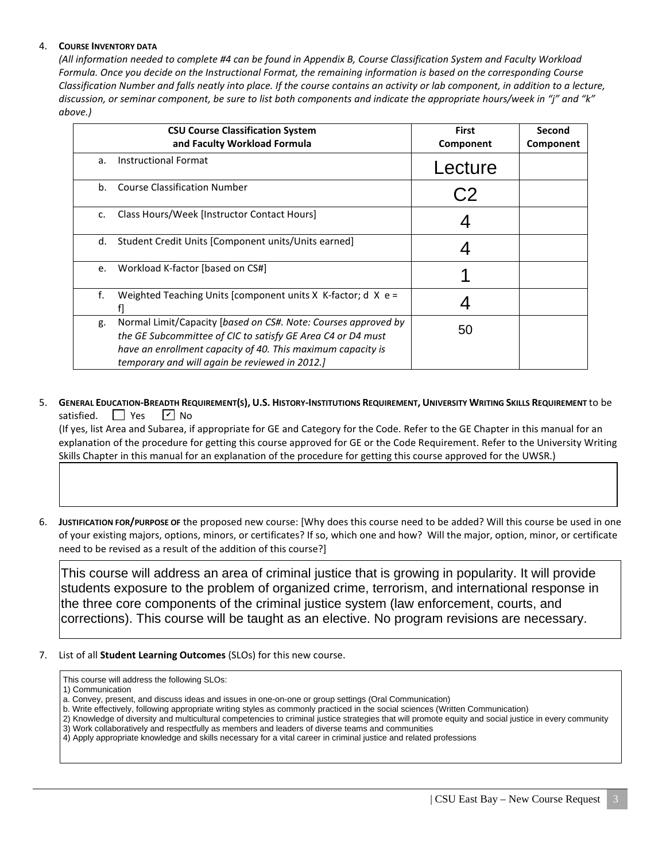## 4. **COURSE INVENTORY DATA**

*(All information needed to complete #4 can be found in Appendix B, Course Classification System and Faculty Workload Formula. Once you decide on the Instructional Format, the remaining information is based on the corresponding Course Classification Number and falls neatly into place. If the course contains an activity or lab component, in addition to a lecture, discussion, or seminar component, be sure to list both components and indicate the appropriate hours/week in "j" and "k" above.)*

|                | <b>CSU Course Classification System</b><br>and Faculty Workload Formula                                                                                                                                                                        | <b>First</b><br>Component | Second<br>Component |
|----------------|------------------------------------------------------------------------------------------------------------------------------------------------------------------------------------------------------------------------------------------------|---------------------------|---------------------|
| a.             | <b>Instructional Format</b>                                                                                                                                                                                                                    | Lecture                   |                     |
| b <sub>1</sub> | <b>Course Classification Number</b>                                                                                                                                                                                                            |                           |                     |
| c.             | Class Hours/Week [Instructor Contact Hours]                                                                                                                                                                                                    |                           |                     |
| d.             | Student Credit Units [Component units/Units earned]                                                                                                                                                                                            |                           |                     |
| e.             | Workload K-factor [based on CS#]                                                                                                                                                                                                               |                           |                     |
| f.             | Weighted Teaching Units [component units $X$ K-factor; d $X$ e =                                                                                                                                                                               |                           |                     |
| g.             | Normal Limit/Capacity [based on CS#. Note: Courses approved by<br>the GE Subcommittee of CIC to satisfy GE Area C4 or D4 must<br>have an enrollment capacity of 40. This maximum capacity is<br>temporary and will again be reviewed in 2012.] | 50                        |                     |

5. **GENERAL EDUCATION-BREADTH REQUIREMENT(S), U.S. HISTORY-INSTITUTIONS REQUIREMENT, UNIVERSITY WRITING SKILLS REQUIREMENT** to be satisfied.  $\Box$  Yes  $\sqrt{V}$  No

 (If yes, list Area and Subarea, if appropriate for GE and Category for the Code. Refer to the GE Chapter in this manual for an explanation of the procedure for getting this course approved for GE or the Code Requirement. Refer to the University Writing Skills Chapter in this manual for an explanation of the procedure for getting this course approved for the UWSR.)

6. **JUSTIFICATION FOR/PURPOSE OF** the proposed new course: [Why does this course need to be added? Will this course be used in one of your existing majors, options, minors, or certificates? If so, which one and how? Will the major, option, minor, or certificate need to be revised as a result of the addition of this course?]

This course will address an area of criminal justice that is growing in popularity. It will provide students exposure to the problem of organized crime, terrorism, and international response in the three core components of the criminal justice system (law enforcement, courts, and corrections). This course will be taught as an elective. No program revisions are necessary.

- 7. List of all **Student Learning Outcomes** (SLOs) for this new course.
	- This course will address the following SLOs:
	- 1) Communication
	- a. Convey, present, and discuss ideas and issues in one-on-one or group settings (Oral Communication)
	- b. Write effectively, following appropriate writing styles as commonly practiced in the social sciences (Written Communication)
	- 2) Knowledge of diversity and multicultural competencies to criminal justice strategies that will promote equity and social justice in every community 3) Work collaboratively and respectfully as members and leaders of diverse teams and communities
	- 4) Apply appropriate knowledge and skills necessary for a vital career in criminal justice and related professions